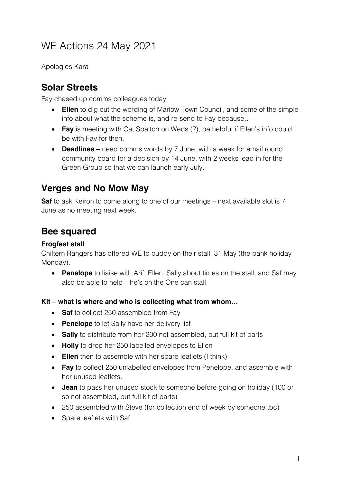# WE Actions 24 May 2021

Apologies Kara

## **Solar Streets**

Fay chased up comms colleagues today

- **Ellen** to dig out the wording of Marlow Town Council, and some of the simple info about what the scheme is, and re-send to Fay because…
- **Fay** is meeting with Cat Spalton on Weds (?), be helpful if Ellen's info could be with Fay for then.
- **Deadlines –** need comms words by 7 June, with a week for email round community board for a decision by 14 June, with 2 weeks lead in for the Green Group so that we can launch early July.

## **Verges and No Mow May**

**Saf** to ask Keiron to come along to one of our meetings – next available slot is 7 June as no meeting next week.

## **Bee squared**

### **Frogfest stall**

Chiltern Rangers has offered WE to buddy on their stall. 31 May (the bank holiday Monday).

• **Penelope** to liaise with Arif, Ellen, Sally about times on the stall, and Saf may also be able to help – he's on the One can stall.

#### **Kit – what is where and who is collecting what from whom…**

- **Saf** to collect 250 assembled from Fav
- **Penelope** to let Sally have her delivery list
- **Sally** to distribute from her 200 not assembled, but full kit of parts
- **Holly** to drop her 250 labelled envelopes to Ellen
- **Ellen** then to assemble with her spare leaflets (I think)
- **Fay** to collect 250 unlabelled envelopes from Penelope, and assemble with her unused leaflets.
- **Jean** to pass her unused stock to someone before going on holiday (100 or so not assembled, but full kit of parts)
- 250 assembled with Steve (for collection end of week by someone tbc)
- Spare leaflets with Saf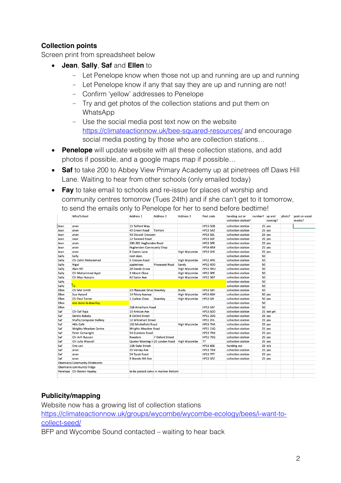### **Collection points**

Screen print from spreadsheet below

- **Jean**, **Sally**, **Saf** and **Ellen** to
	- Let Penelope know when those not up and running are up and running
	- Let Penelope know if any that say they are up and running are not!
	- Confirm 'yellow' addresses to Penelope
	- Try and get photos of the collection stations and put them on WhatsApp
	- Use the social media post text now on the website https://climateactionnow.uk/bee-squared-resources/ and encourage social media posting by those who are collection stations…
- **Penelope** will update website with all these collection stations, and add photos if possible, and a google maps map if possible…
- **Saf** to take 200 to Abbey View Primary Academy up at pinetrees off Daws Hill Lane. Waiting to hear from other schools (only emailed today)
- **Fay** to take email to schools and re-issue for places of worship and community centres tomorrow (Tues 24th) and if she can't get to it tomorrow, to send the emails only to Penelope for her to send before bedtime!

|       | Who/School                            | Address 1                          | Address 2       | Address 3           | Post code       | handing out or<br>collection station? | number? up and | running?        | photo? | post on social<br>media? |
|-------|---------------------------------------|------------------------------------|-----------------|---------------------|-----------------|---------------------------------------|----------------|-----------------|--------|--------------------------|
| Jean  | anon                                  | 11 Telford Way                     |                 |                     | <b>HP13 5EB</b> | collection station                    |                | 25 yes          |        |                          |
| Jean  | anon                                  | 43 Green Road                      | Terriers        |                     | <b>HP13 5AZ</b> | collection station                    |                | 25 yes          |        |                          |
| Jean  | anon                                  | 43 Disraeli Crescent               |                 |                     | HP13 5EL        | collection station                    |                | 25 yes          |        |                          |
| Jean  | Jean                                  | 12 Tancred Road                    |                 |                     | HP13 5EF        | collection station                    |                | 25 yes          |        |                          |
| Jean  | anon                                  | 280-282 Hughenden Road             |                 |                     | <b>HP13 5PE</b> | collection station                    |                | 25 yes          |        |                          |
| Jean  | anon                                  | Hughenden Community Shop           |                 |                     | <b>HP14 4NX</b> | collection station                    |                | 25 yes          |        |                          |
| Jean  | anon                                  | 6 Coates Lane                      |                 | High Wycombe        | HP13 5HE        | collection station                    |                | 25 yes          |        |                          |
| Sally | Sally                                 | next door.                         |                 |                     |                 | collection station                    | 50             |                 |        |                          |
| Sally | Cllr Zahir Mohammed                   | 5 Cressex Road                     |                 | High Wycombe        | <b>HP12 4PG</b> | collection station                    | 50             |                 |        |                          |
| Sally | Nigel                                 | appletrees                         | Pinewood Road   | Sands               | <b>HP12 4DD</b> | collection station                    | 50             |                 |        |                          |
| Sally | Alan Hill                             | 28 Deeds Grove                     |                 | High Wycombe        | <b>HP12 3NU</b> | collection station                    | 50             |                 |        |                          |
| Sally | Cllr Mohammed Ayub                    | 3 Mount Close                      |                 | High Wycombe        | <b>HP12 3PE</b> | collection station                    | 50             |                 |        |                          |
| Sally | Cllr Maz Hussain                      | 42 Eaton Ave                       |                 | High Wycombe        | <b>HP12 3BP</b> | collection station                    | 50             |                 |        |                          |
| Sally |                                       |                                    |                 |                     |                 | collection station                    | 50             |                 |        |                          |
| Sally | $\frac{1}{2}$                         |                                    |                 |                     |                 | collection station                    | 50             |                 |        |                          |
| Ellen | Cllr Mel Smith                        | 23 Pheasant Drive Downley          |                 | <b>Bucks</b>        | <b>HP13 5JH</b> | collection station                    | 50             |                 |        |                          |
| Ellen | Sue Hynard                            | 14 Priory Avenue                   |                 | High Wycombe        | <b>HP13 6SH</b> | collection station                    |                | 50 yes          |        |                          |
| Ellen | <b>Cllr Paul Turner</b>               | 1 Curlew Close                     | Downley         | High Wycombe        | <b>HP13 5JY</b> | collection station                    |                | 50 yes          |        |                          |
| Ellen | one more in downley                   |                                    |                 |                     |                 | collection station                    | 50             |                 |        |                          |
| Ellen |                                       | 168 Amerham Road                   |                 |                     | <b>HP13 5AF</b> | collection station                    | 50             |                 |        |                          |
| Saf   | Cllr Saf Raja                         | 19 Arnison Ave                     |                 |                     | <b>HP13 6DD</b> | collection station                    |                | 25 not yet      |        |                          |
| Saf   | Dennis Kebabs                         | 8 Oxford Street                    |                 |                     | <b>HP11 2DG</b> | collection station                    |                | 25 yes          |        |                          |
| Saf   | <b>Shafiq Computer Gallery</b>        | 12 Whitehart Street                |                 |                     | <b>HP11 2HL</b> | collection station                    |                | 25 yes          |        |                          |
| Saf   | Hills Café                            | 162 Micklefield Road               |                 | High Wycombe        | <b>HP13 7HA</b> | collection station                    |                | 25 yes          |        |                          |
| Saf   | <b>Wrights Meadow Centre</b>          | Wrights Meadow Road                |                 |                     | <b>HP11 1SQ</b> | collection station                    |                | 25 yes          |        |                          |
| Saf   | Peter Cartwright                      | 54 Guinions Road                   |                 |                     | <b>HP13 7NX</b> | collection station                    |                | 25 yes          |        |                          |
| Saf   | Cllr Arif Hussain                     | Roosters                           | 7 Oxford Street |                     | <b>HP11 7DG</b> | collection station                    |                | 25 yes          |        |                          |
| Saf   | Cllr Julia Wassell                    | Quaker Meeting H 25 London Road    |                 | <b>High Wycombe</b> | 22              | collection station                    |                | 25 yes          |        |                          |
| Saf   | One can                               | 11B Duke Street                    |                 |                     | <b>HP13 6EE</b> | handing out                           |                | $25 \nvert n/a$ |        |                          |
| Saf   | anon                                  | 35 Verney Ave                      |                 |                     | <b>HP13 7NX</b> | collection station                    |                | 25 yes          |        |                          |
| Saf   | anon                                  | 54 Tyzak Road                      |                 |                     | <b>HP13 7PT</b> | collection station                    |                | 25 yes          |        |                          |
| Saf   | anon                                  | 9 Brands Hill Ave                  |                 |                     | <b>HP13 5PZ</b> | collection station                    |                | 25 yes          |        |                          |
|       | <b>Charmaine Community Allotments</b> |                                    |                 |                     |                 |                                       |                |                 |        |                          |
|       | Charmaine community fridge            |                                    |                 |                     |                 |                                       |                |                 |        |                          |
|       | Penelope Cllr Darren Hayday           | to be posted some in marlow Bottom |                 |                     |                 |                                       |                |                 |        |                          |

### **Publicity/mapping**

Website now has a growing list of collection stations

https://climateactionnow.uk/groups/wycombe/wycombe-ecology/bees/i-want-tocollect-seed/

BFP and Wycombe Sound contacted – waiting to hear back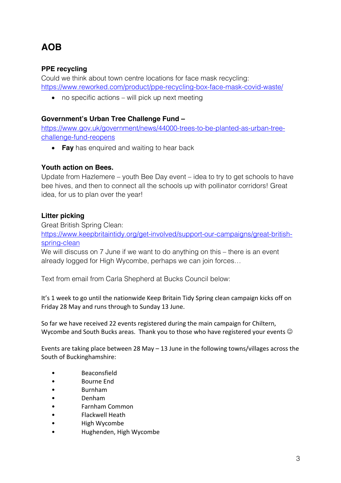## **AOB**

### **PPE recycling**

Could we think about town centre locations for face mask recycling: https://www.reworked.com/product/ppe-recycling-box-face-mask-covid-waste/

• no specific actions – will pick up next meeting

#### **Government's Urban Tree Challenge Fund –**

https://www.gov.uk/government/news/44000-trees-to-be-planted-as-urban-treechallenge-fund-reopens

• **Fay** has enquired and waiting to hear back

#### **Youth action on Bees.**

Update from Hazlemere – youth Bee Day event – idea to try to get schools to have bee hives, and then to connect all the schools up with pollinator corridors! Great idea, for us to plan over the year!

#### **Litter picking**

Great British Spring Clean:

https://www.keepbritaintidy.org/get-involved/support-our-campaigns/great-britishspring-clean

We will discuss on 7 June if we want to do anything on this – there is an event already logged for High Wycombe, perhaps we can join forces…

Text from email from Carla Shepherd at Bucks Council below:

It's 1 week to go until the nationwide Keep Britain Tidy Spring clean campaign kicks off on Friday 28 May and runs through to Sunday 13 June.

So far we have received 22 events registered during the main campaign for Chiltern, Wycombe and South Bucks areas. Thank you to those who have registered your events  $\odot$ 

Events are taking place between 28 May  $-$  13 June in the following towns/villages across the South of Buckinghamshire:

- Beaconsfield
- Bourne End
- Burnham
- Denham
- Farnham Common
- Flackwell Heath
- High Wycombe
- Hughenden, High Wycombe